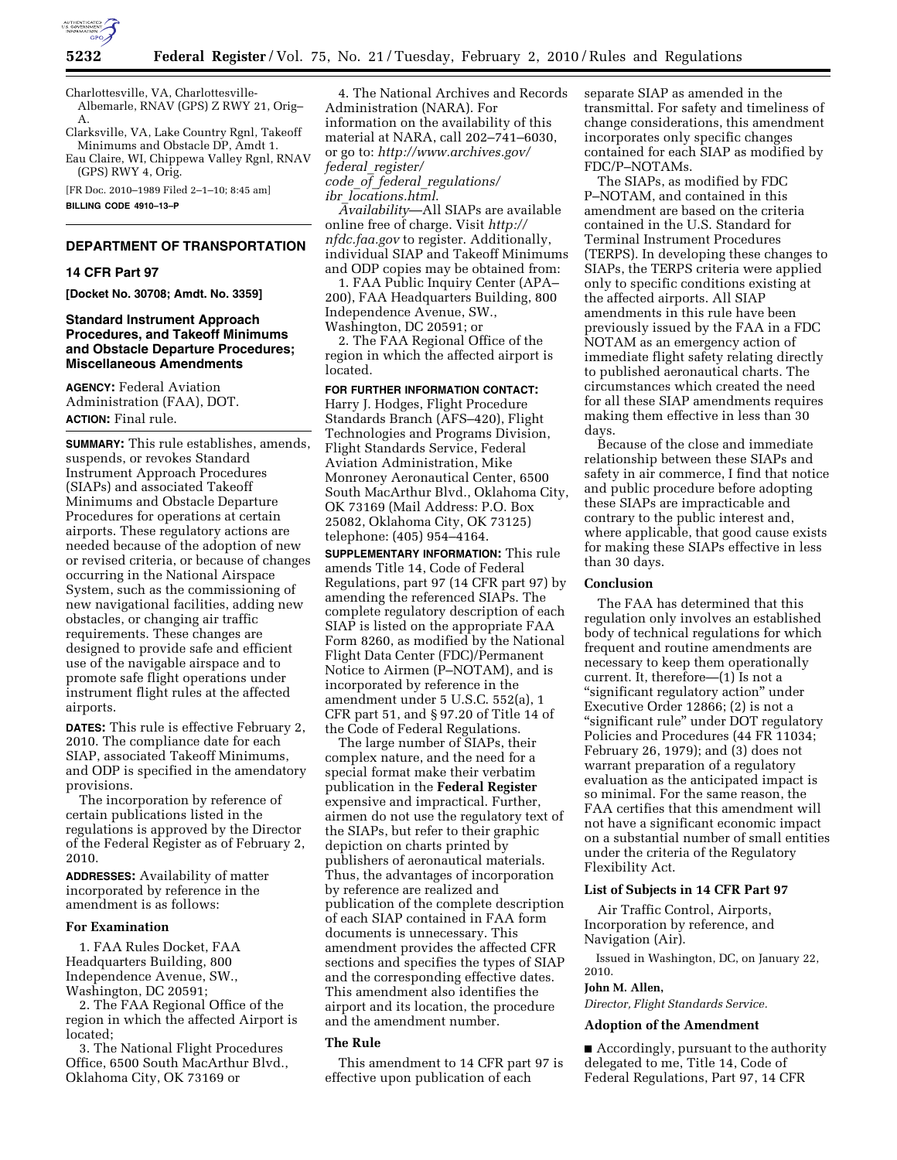

Charlottesville, VA, Charlottesville-Albemarle, RNAV (GPS) Z RWY 21, Orig– A.

Clarksville, VA, Lake Country Rgnl, Takeoff Minimums and Obstacle DP, Amdt 1. Eau Claire, WI, Chippewa Valley Rgnl, RNAV

(GPS) RWY 4, Orig. [FR Doc. 2010–1989 Filed 2–1–10; 8:45 am] **BILLING CODE 4910–13–P** 

### **DEPARTMENT OF TRANSPORTATION**

#### **14 CFR Part 97**

**[Docket No. 30708; Amdt. No. 3359]** 

## **Standard Instrument Approach Procedures, and Takeoff Minimums and Obstacle Departure Procedures; Miscellaneous Amendments**

**AGENCY:** Federal Aviation Administration (FAA), DOT. **ACTION:** Final rule.

**SUMMARY:** This rule establishes, amends, suspends, or revokes Standard Instrument Approach Procedures (SIAPs) and associated Takeoff Minimums and Obstacle Departure Procedures for operations at certain airports. These regulatory actions are needed because of the adoption of new or revised criteria, or because of changes occurring in the National Airspace System, such as the commissioning of new navigational facilities, adding new obstacles, or changing air traffic requirements. These changes are designed to provide safe and efficient use of the navigable airspace and to promote safe flight operations under instrument flight rules at the affected airports.

**DATES:** This rule is effective February 2, 2010. The compliance date for each SIAP, associated Takeoff Minimums, and ODP is specified in the amendatory provisions.

The incorporation by reference of certain publications listed in the regulations is approved by the Director of the Federal Register as of February 2, 2010.

**ADDRESSES:** Availability of matter incorporated by reference in the amendment is as follows:

### **For Examination**

1. FAA Rules Docket, FAA Headquarters Building, 800 Independence Avenue, SW., Washington, DC 20591;

2. The FAA Regional Office of the region in which the affected Airport is located;

3. The National Flight Procedures Office, 6500 South MacArthur Blvd., Oklahoma City, OK 73169 or

4. The National Archives and Records Administration (NARA). For information on the availability of this material at NARA, call 202–741–6030, or go to: *http://www.archives.gov/ federal*\_*register/ code*\_*of*\_*federal*\_*regulations/ ibr*\_*locations.html*.

*Availability*—All SIAPs are available online free of charge. Visit *http:// nfdc.faa.gov* to register. Additionally, individual SIAP and Takeoff Minimums and ODP copies may be obtained from:

1. FAA Public Inquiry Center (APA– 200), FAA Headquarters Building, 800 Independence Avenue, SW., Washington, DC 20591; or

2. The FAA Regional Office of the region in which the affected airport is located.

# **FOR FURTHER INFORMATION CONTACT:**

Harry J. Hodges, Flight Procedure Standards Branch (AFS–420), Flight Technologies and Programs Division, Flight Standards Service, Federal Aviation Administration, Mike Monroney Aeronautical Center, 6500 South MacArthur Blvd., Oklahoma City, OK 73169 (Mail Address: P.O. Box 25082, Oklahoma City, OK 73125) telephone: (405) 954–4164.

**SUPPLEMENTARY INFORMATION:** This rule amends Title 14, Code of Federal Regulations, part 97 (14 CFR part 97) by amending the referenced SIAPs. The complete regulatory description of each SIAP is listed on the appropriate FAA Form 8260, as modified by the National Flight Data Center (FDC)/Permanent Notice to Airmen (P–NOTAM), and is incorporated by reference in the amendment under 5 U.S.C. 552(a), 1 CFR part 51, and § 97.20 of Title 14 of the Code of Federal Regulations.

The large number of SIAPs, their complex nature, and the need for a special format make their verbatim publication in the **Federal Register**  expensive and impractical. Further, airmen do not use the regulatory text of the SIAPs, but refer to their graphic depiction on charts printed by publishers of aeronautical materials. Thus, the advantages of incorporation by reference are realized and publication of the complete description of each SIAP contained in FAA form documents is unnecessary. This amendment provides the affected CFR sections and specifies the types of SIAP and the corresponding effective dates. This amendment also identifies the airport and its location, the procedure and the amendment number.

#### **The Rule**

This amendment to 14 CFR part 97 is effective upon publication of each

separate SIAP as amended in the transmittal. For safety and timeliness of change considerations, this amendment incorporates only specific changes contained for each SIAP as modified by FDC/P–NOTAMs.

The SIAPs, as modified by FDC P–NOTAM, and contained in this amendment are based on the criteria contained in the U.S. Standard for Terminal Instrument Procedures (TERPS). In developing these changes to SIAPs, the TERPS criteria were applied only to specific conditions existing at the affected airports. All SIAP amendments in this rule have been previously issued by the FAA in a FDC NOTAM as an emergency action of immediate flight safety relating directly to published aeronautical charts. The circumstances which created the need for all these SIAP amendments requires making them effective in less than 30 days.

Because of the close and immediate relationship between these SIAPs and safety in air commerce, I find that notice and public procedure before adopting these SIAPs are impracticable and contrary to the public interest and, where applicable, that good cause exists for making these SIAPs effective in less than 30 days.

### **Conclusion**

The FAA has determined that this regulation only involves an established body of technical regulations for which frequent and routine amendments are necessary to keep them operationally current. It, therefore—(1) Is not a ''significant regulatory action'' under Executive Order 12866; (2) is not a ''significant rule'' under DOT regulatory Policies and Procedures (44 FR 11034; February 26, 1979); and (3) does not warrant preparation of a regulatory evaluation as the anticipated impact is so minimal. For the same reason, the FAA certifies that this amendment will not have a significant economic impact on a substantial number of small entities under the criteria of the Regulatory Flexibility Act.

### **List of Subjects in 14 CFR Part 97**

Air Traffic Control, Airports, Incorporation by reference, and Navigation (Air).

Issued in Washington, DC, on January 22,

# **John M. Allen,**

2010.

*Director, Flight Standards Service.* 

### **Adoption of the Amendment**

■ Accordingly, pursuant to the authority delegated to me, Title 14, Code of Federal Regulations, Part 97, 14 CFR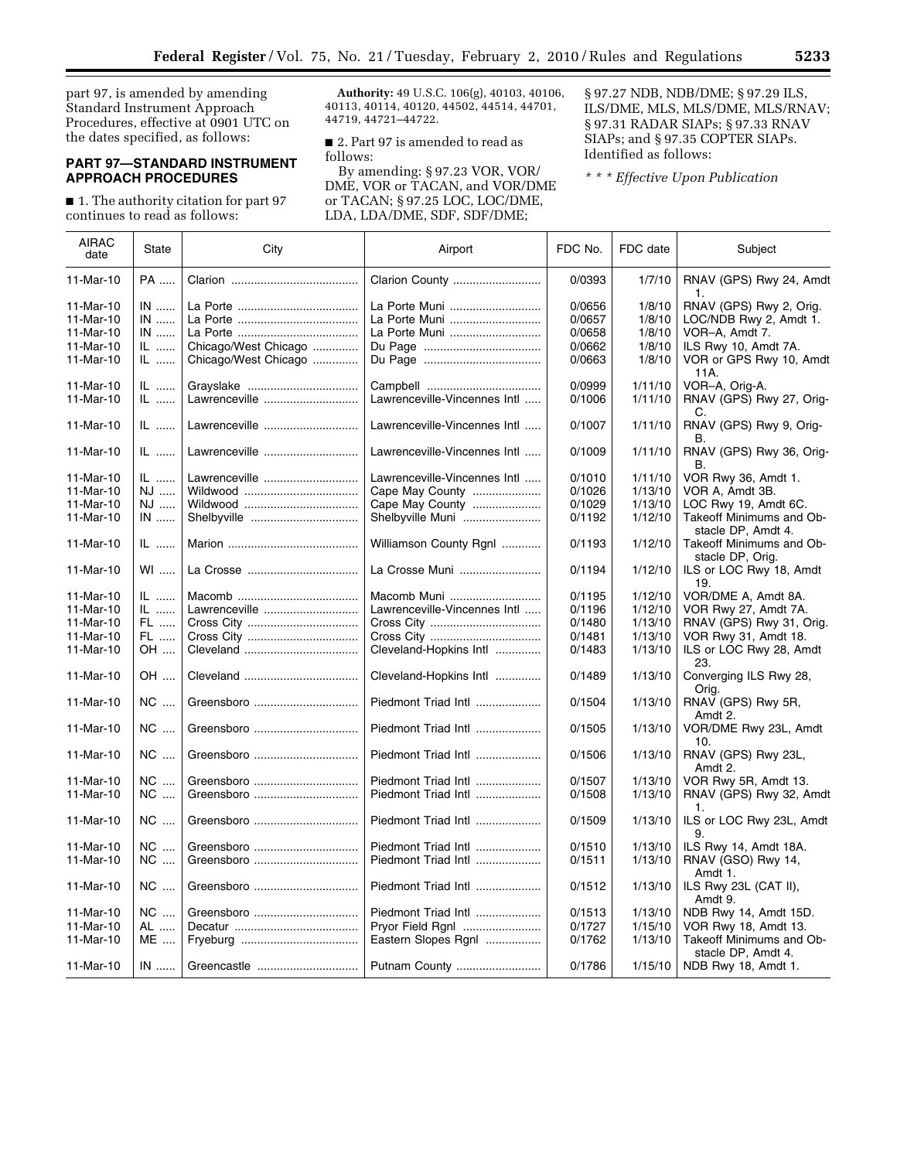part 97, is amended by amending Standard Instrument Approach Procedures, effective at 0901 UTC on the dates specified, as follows:

# **PART 97—STANDARD INSTRUMENT APPROACH PROCEDURES**

■ 1. The authority citation for part 97 continues to read as follows:

**Authority:** 49 U.S.C. 106(g), 40103, 40106, 40113, 40114, 40120, 44502, 44514, 44701, 44719, 44721–44722.

■ 2. Part 97 is amended to read as follows:

By amending: § 97.23 VOR, VOR/ DME, VOR or TACAN, and VOR/DME or TACAN; § 97.25 LOC, LOC/DME, LDA, LDA/DME, SDF, SDF/DME;

§ 97.27 NDB, NDB/DME; § 97.29 ILS, ILS/DME, MLS, MLS/DME, MLS/RNAV; § 97.31 RADAR SIAPs; § 97.33 RNAV SIAPs; and § 97.35 COPTER SIAPs. Identified as follows:

*\* \* \* Effective Upon Publication* 

| <b>AIRAC</b><br>date | State     | City                 | Airport                      | FDC No. | FDC date | Subject                                                            |
|----------------------|-----------|----------------------|------------------------------|---------|----------|--------------------------------------------------------------------|
| 11-Mar-10            | <b>PA</b> |                      | Clarion County               | 0/0393  | 1/7/10   | RNAV (GPS) Rwy 24, Amdt<br>1.                                      |
| 11-Mar-10            | $IN$      |                      | La Porte Muni                | 0/0656  | 1/8/10   | RNAV (GPS) Rwy 2, Orig.                                            |
| 11-Mar-10            | $IN$      |                      | La Porte Muni                | 0/0657  | 1/8/10   | LOC/NDB Rwy 2, Amdt 1.                                             |
| 11-Mar-10            | $IN$      |                      | La Porte Muni                | 0/0658  | 1/8/10   | VOR-A. Amdt 7.                                                     |
| 11-Mar-10            | IL        | Chicago/West Chicago |                              | 0/0662  | 1/8/10   | ILS Rwy 10, Amdt 7A.                                               |
| 11-Mar-10            | IL        | Chicago/West Chicago |                              | 0/0663  | 1/8/10   | VOR or GPS Rwy 10, Amdt                                            |
|                      |           |                      |                              |         |          | 11A.                                                               |
| 11-Mar-10            | IL        |                      |                              | 0/0999  | 1/11/10  | VOR-A, Orig-A.                                                     |
| 11-Mar-10            | $ L$      | Lawrenceville        | Lawrenceville-Vincennes Intl | 0/1006  | 1/11/10  | RNAV (GPS) Rwy 27, Orig-<br>C.                                     |
| 11-Mar-10            | $IL$      | Lawrenceville        | Lawrenceville-Vincennes Intl | 0/1007  | 1/11/10  | RNAV (GPS) Rwy 9, Orig-<br>В.                                      |
| 11-Mar-10            | $IL$      | Lawrenceville        | Lawrenceville-Vincennes Intl | 0/1009  | 1/11/10  | RNAV (GPS) Rwy 36, Orig-<br>В.                                     |
| 11-Mar-10            | $IL$      | Lawrenceville        | Lawrenceville-Vincennes Intl | 0/1010  | 1/11/10  | VOR Rwy 36, Amdt 1.                                                |
| 11-Mar-10            | NJ        |                      | Cape May County              | 0/1026  | 1/13/10  | VOR A, Amdt 3B.                                                    |
| 11-Mar-10            | NJ        |                      | Cape May County              | 0/1029  | 1/13/10  | LOC Rwy 19, Amdt 6C.                                               |
| 11-Mar-10            | $IN$      | Shelbyville          | Shelbyville Muni             | 0/1192  | 1/12/10  | Takeoff Minimums and Ob-                                           |
| 11-Mar-10            | IL        |                      | Williamson County Rgnl       | 0/1193  | 1/12/10  | stacle DP, Amdt 4.<br>Takeoff Minimums and Ob-<br>stacle DP, Orig. |
| 11-Mar-10            | $W1$      |                      | La Crosse Muni               | 0/1194  | 1/12/10  | ILS or LOC Rwy 18, Amdt<br>19.                                     |
| 11-Mar-10            | $IL$      |                      | Macomb Muni                  | 0/1195  | 1/12/10  | VOR/DME A, Amdt 8A.                                                |
| 11-Mar-10            | $IL$      | Lawrenceville        | Lawrenceville-Vincennes Intl | 0/1196  | 1/12/10  | VOR Rwy 27, Amdt 7A.                                               |
| 11-Mar-10            | FL        |                      |                              | 0/1480  | 1/13/10  | RNAV (GPS) Rwy 31, Orig.                                           |
| 11-Mar-10            | FL        |                      |                              | 0/1481  | 1/13/10  | VOR Rwy 31, Amdt 18.                                               |
| 11-Mar-10            | OH        |                      | Cleveland-Hopkins Intl       | 0/1483  | 1/13/10  | ILS or LOC Rwy 28, Amdt                                            |
|                      |           |                      |                              |         |          | 23.                                                                |
| 11-Mar-10            | OH        | Cleveland            | Cleveland-Hopkins Intl       | 0/1489  | 1/13/10  | Converging ILS Rwy 28,<br>Orig.                                    |
| 11-Mar-10            | NC        | Greensboro           | Piedmont Triad Intl          | 0/1504  | 1/13/10  | RNAV (GPS) Rwy 5R,<br>Amdt 2.                                      |
| 11-Mar-10            | NC        | Greensboro           | Piedmont Triad Intl          | 0/1505  | 1/13/10  | VOR/DME Rwy 23L, Amdt<br>10.                                       |
| 11-Mar-10            | NC        | Greensboro           | Piedmont Triad Intl          | 0/1506  | 1/13/10  | RNAV (GPS) Rwy 23L,<br>Amdt 2.                                     |
| 11-Mar-10            | <b>NC</b> | Greensboro           | Piedmont Triad Intl          | 0/1507  | 1/13/10  | VOR Rwy 5R, Amdt 13.                                               |
| 11-Mar-10            | NC        | Greensboro           | Piedmont Triad Intl          | 0/1508  | 1/13/10  | RNAV (GPS) Rwy 32, Amdt                                            |
| 11-Mar-10            | NC        | Greensboro           | Piedmont Triad Intl          | 0/1509  | 1/13/10  | 1.<br>ILS or LOC Rwy 23L, Amdt<br>9.                               |
| 11-Mar-10            | <b>NC</b> | Greensboro           | Piedmont Triad Intl          | 0/1510  | 1/13/10  | ILS Rwy 14, Amdt 18A.                                              |
| 11-Mar-10            | NC        | Greensboro           | Piedmont Triad Intl          | 0/1511  | 1/13/10  | RNAV (GSO) Rwy 14,                                                 |
| 11-Mar-10            | <b>NC</b> | Greensboro           | Piedmont Triad Intl          | 0/1512  | 1/13/10  | Amdt 1.<br>ILS Rwy 23L (CAT II),<br>Amdt 9.                        |
| 11-Mar-10            | <b>NC</b> | Greensboro           | Piedmont Triad Intl          | 0/1513  | 1/13/10  | NDB Rwy 14, Amdt 15D.                                              |
| 11-Mar-10            | AL        |                      | Pryor Field Rgnl             | 0/1727  | 1/15/10  | VOR Rwy 18, Amdt 13.                                               |
| 11-Mar-10            | ME        |                      | Eastern Slopes Rgnl          | 0/1762  | 1/13/10  | Takeoff Minimums and Ob-                                           |
|                      |           |                      |                              |         |          | stacle DP, Amdt 4.                                                 |
| 11-Mar-10            | $IN$      | Greencastle          | Putnam County                | 0/1786  | 1/15/10  | NDB Rwy 18, Amdt 1.                                                |